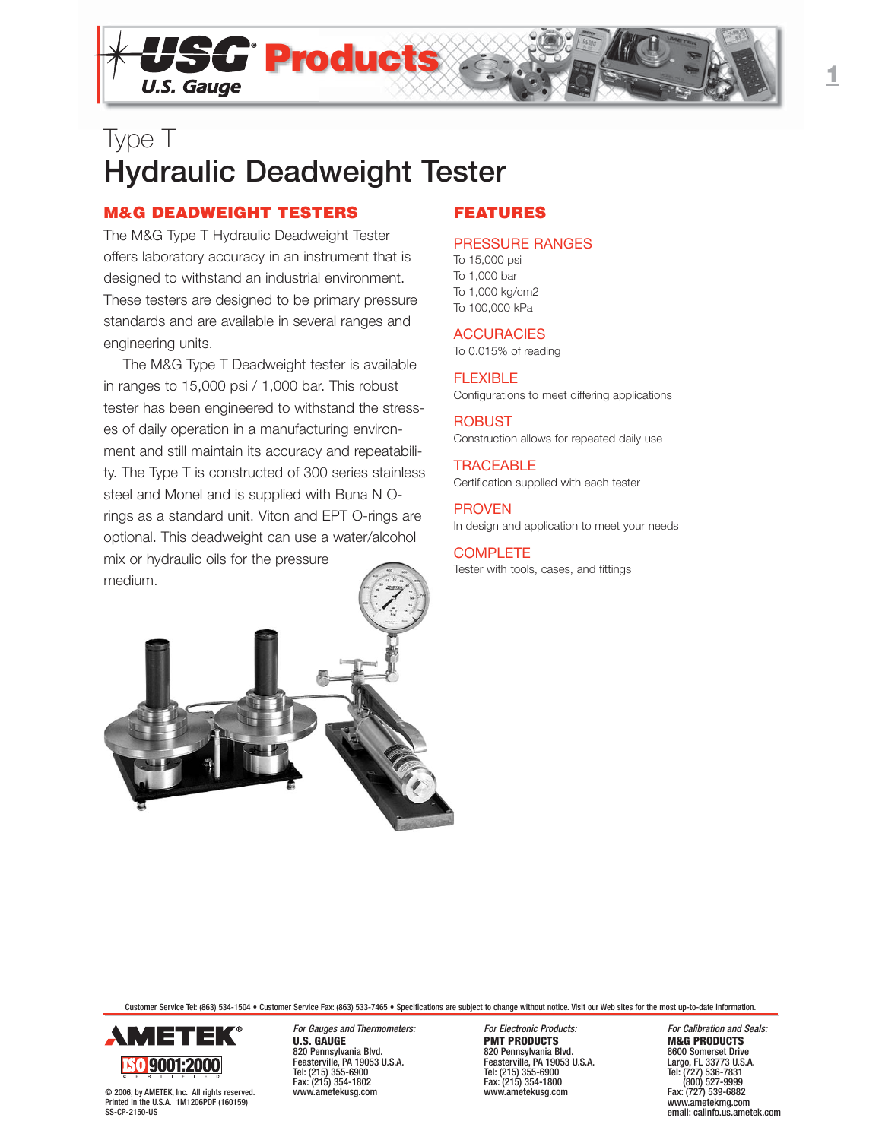

## **M&G DEADWEIGHT TESTERS**

The M&G Type T Hydraulic Deadweight Tester offers laboratory accuracy in an instrument that is designed to withstand an industrial environment. These testers are designed to be primary pressure standards and are available in several ranges and engineering units.

The M&G Type T Deadweight tester is available in ranges to 15,000 psi / 1,000 bar. This robust tester has been engineered to withstand the stresses of daily operation in a manufacturing environment and still maintain its accuracy and repeatability. The Type T is constructed of 300 series stainless steel and Monel and is supplied with Buna N Orings as a standard unit. Viton and EPT O-rings are optional. This deadweight can use a water/alcohol mix or hydraulic oils for the pressure medium.

## **FEATURES**

## PRESSURE RANGES

To 15,000 psi To 1,000 bar To 1,000 kg/cm2 To 100,000 kPa

## **ACCURACIES**

To 0.015% of reading

FLEXIBLE Configurations to meet differing applications

ROBUST Construction allows for repeated daily use

**TRACEABLE** Certification supplied with each tester

PROVEN In design and application to meet your needs

**COMPLETE** Tester with tools, cases, and fittings



Customer Service Tel: (863) 534-1504 • Customer Service Fax: (863) 533-7465 • Specifications are subject to change without notice. Visit our Web sites for the most up-to-date information.



© 2006, by AMETEK, Inc. All rights reserved. Printed in the U.S.A. 1M1206PDF (160159) SS-CP-2150-US

For Gauges and Thermometers: For Electronic Products: For Galibration and Seals:<br> **For Calibration and Seals: FRODUCTS PRODUCTS EXAGERENTS** Fax: (215) 354-1802<br>
www.ametekusa.com<br>
www.ametekusa.com

**PMT PRODUCTS** 820 Pennsylvania Blvd. 820 Pennsylvania Blvd. 820 Pennsylvania Blvd. 8600 Somerset Drive Feasterville, PA 19053 U.S.A. Feasterville, PA 19053 U.S.A. Largo, FL 33773 U.S.A. Tel: (215) 355-6900 Tel: (215) 355-6900 Tel: (727) 536-7831

Fax: (727) 539-6882 www.ametekmg.com email: calinfo.us.ametek.com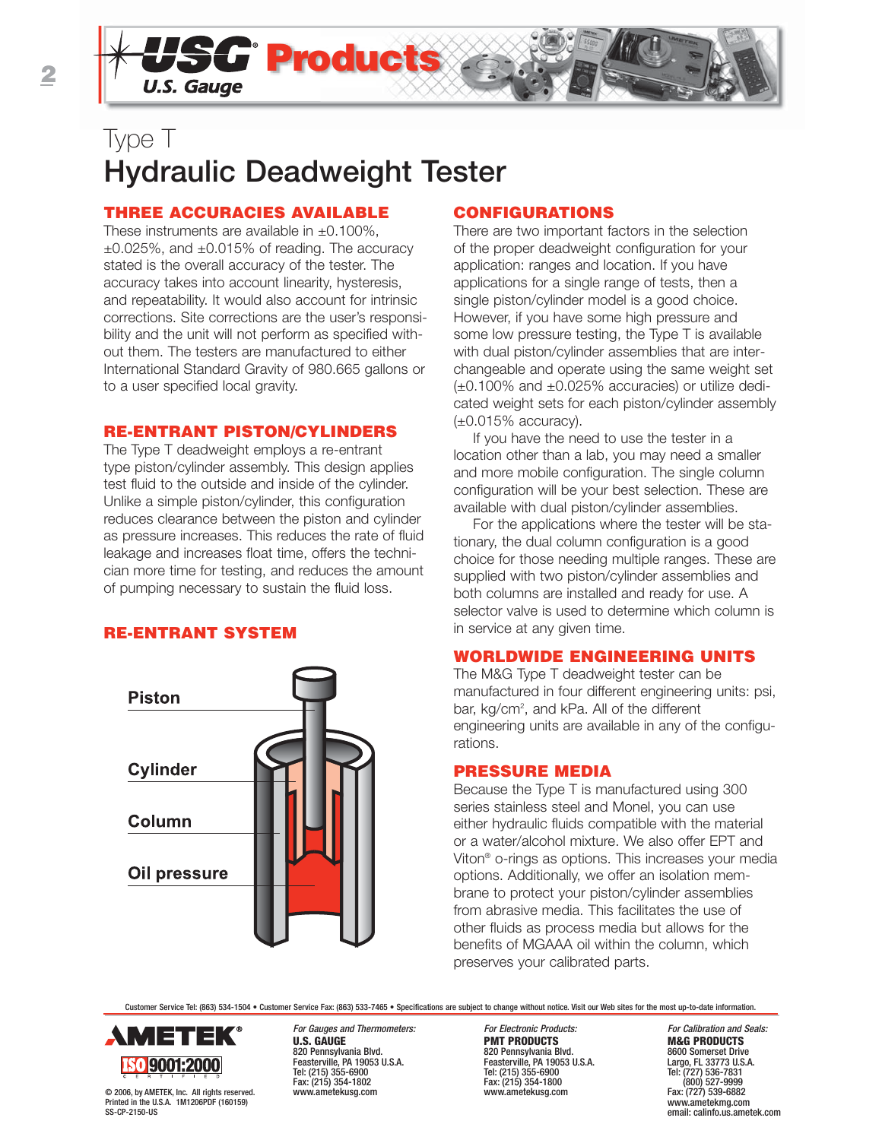

## **THREE ACCURACIES AVAILABLE**

These instruments are available in  $\pm 0.100\%$ ,  $\pm 0.025\%$ , and  $\pm 0.015\%$  of reading. The accuracy stated is the overall accuracy of the tester. The accuracy takes into account linearity, hysteresis, and repeatability. It would also account for intrinsic corrections. Site corrections are the user's responsibility and the unit will not perform as specified without them. The testers are manufactured to either International Standard Gravity of 980.665 gallons or to a user specified local gravity.

## **RE-ENTRANT PISTON/CYLINDERS**

The Type T deadweight employs a re-entrant type piston/cylinder assembly. This design applies test fluid to the outside and inside of the cylinder. Unlike a simple piston/cylinder, this configuration reduces clearance between the piston and cylinder as pressure increases. This reduces the rate of fluid leakage and increases float time, offers the technician more time for testing, and reduces the amount of pumping necessary to sustain the fluid loss.

## **RE-ENTRANT SYSTEM**



## **CONFIGURATIONS**

There are two important factors in the selection of the proper deadweight configuration for your application: ranges and location. If you have applications for a single range of tests, then a single piston/cylinder model is a good choice. However, if you have some high pressure and some low pressure testing, the Type T is available with dual piston/cylinder assemblies that are interchangeable and operate using the same weight set (±0.100% and ±0.025% accuracies) or utilize dedicated weight sets for each piston/cylinder assembly  $(\pm 0.015\%$  accuracy).

If you have the need to use the tester in a location other than a lab, you may need a smaller and more mobile configuration. The single column configuration will be your best selection. These are available with dual piston/cylinder assemblies.

For the applications where the tester will be stationary, the dual column configuration is a good choice for those needing multiple ranges. These are supplied with two piston/cylinder assemblies and both columns are installed and ready for use. A selector valve is used to determine which column is in service at any given time.

## **WORLDWIDE ENGINEERING UNITS**

The M&G Type T deadweight tester can be manufactured in four different engineering units: psi, bar, kg/cm<sup>2</sup>, and kPa. All of the different engineering units are available in any of the configurations.

## **PRESSURE MEDIA**

Because the Type T is manufactured using 300 series stainless steel and Monel, you can use either hydraulic fluids compatible with the material or a water/alcohol mixture. We also offer EPT and Viton® o-rings as options. This increases your media options. Additionally, we offer an isolation membrane to protect your piston/cylinder assemblies from abrasive media. This facilitates the use of other fluids as process media but allows for the benefits of MGAAA oil within the column, which preserves your calibrated parts.

Customer Service Tel: (863) 534-1504 • Customer Service Fax: (863) 533-7465 • Specifications are subject to change without notice. Visit our Web sites for the most up-to-date information.



© 2006, by AMETEK, Inc. All rights reserved. Printed in the U.S.A. 1M1206PDF (160159)

SS-CP-2150-US

Fax: (215) 354-1802 Fax: (215) 354-1800 (800) 527-9999

For Gauges and Thermometers: For Electronic Products: For Galibration and Seals:<br> **For Electronic Products**<br> **For Electronic Products**<br> **For Calibration and Seals: PRODUCTS PMT PRODUCTS**<br>820 Pennsylvania Blvd.<br>8600 Somerset Drive 820 Pennsylvania Blvd. 820 Pennsylvania Blvd. 8600 Somerset Drive Feasterville, PA 19053 U.S.A. Feasterville, PA 19053 U.S.A. Largo, FL 33773 U.S.A. Tel: (215) 355-6900 Tel: (215) 355-6900 Tel: (727) 536-7831

Fax: (727) 539-6882 www.ametekmg.com email: calinfo.us.ametek.com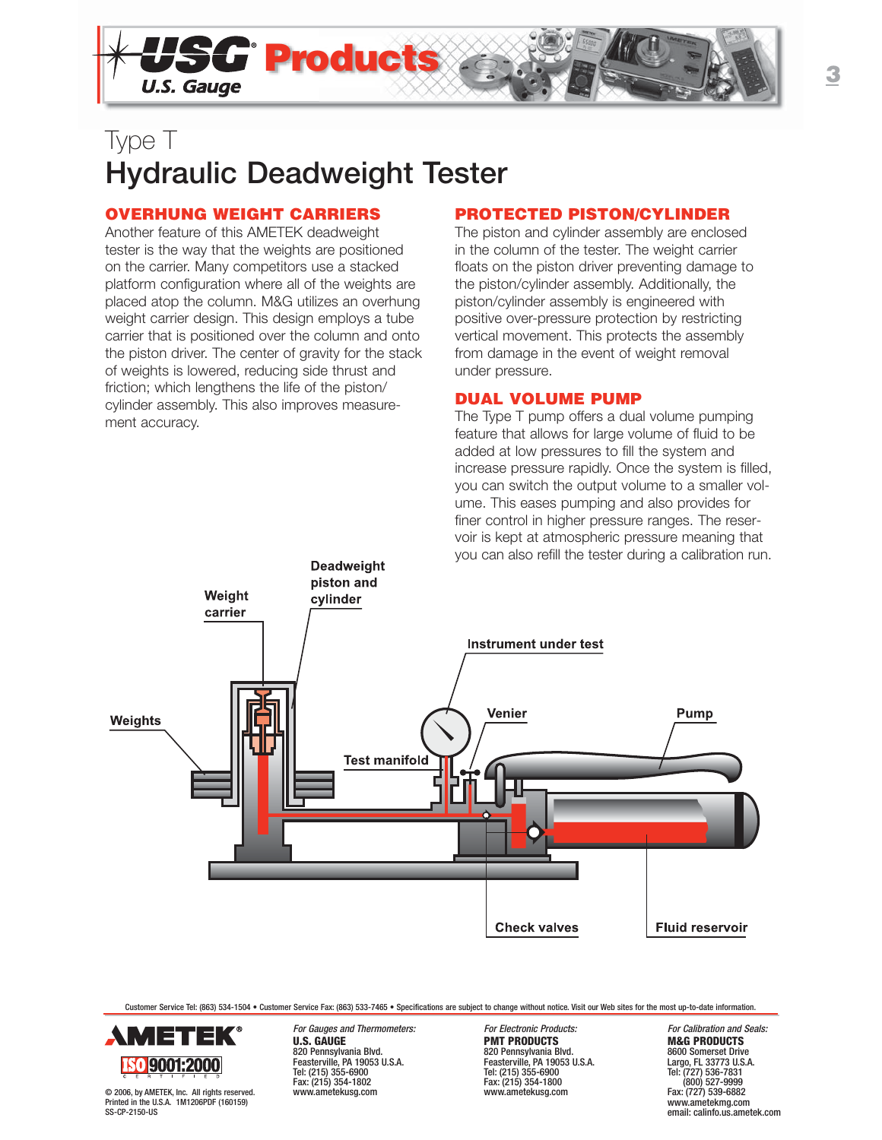

## **OVERHUNG WEIGHT CARRIERS**

Another feature of this AMETEK deadweight tester is the way that the weights are positioned on the carrier. Many competitors use a stacked platform configuration where all of the weights are placed atop the column. M&G utilizes an overhung weight carrier design. This design employs a tube carrier that is positioned over the column and onto the piston driver. The center of gravity for the stack of weights is lowered, reducing side thrust and friction; which lengthens the life of the piston/ cylinder assembly. This also improves measurement accuracy.

## **PROTECTED PISTON/CYLINDER**

The piston and cylinder assembly are enclosed in the column of the tester. The weight carrier floats on the piston driver preventing damage to the piston/cylinder assembly. Additionally, the piston/cylinder assembly is engineered with positive over-pressure protection by restricting vertical movement. This protects the assembly from damage in the event of weight removal under pressure.

## **DUAL VOLUME PUMP**

The Type T pump offers a dual volume pumping feature that allows for large volume of fluid to be added at low pressures to fill the system and increase pressure rapidly. Once the system is filled, you can switch the output volume to a smaller volume. This eases pumping and also provides for finer control in higher pressure ranges. The reservoir is kept at atmospheric pressure meaning that you can also refill the tester during a calibration run.



Customer Service Tel: (863) 534-1504 • Customer Service Fax: (863) 533-7465 • Specifications are subject to change without notice. Visit our Web sites for the most up-to-date information.



© 2006, by AMETEK, Inc. All rights reserved. Printed in the U.S.A. 1M1206PDF (160159) SS-CP-2150-US

Fax: (215) 354-1802 Fax: (215) 354-1800 (800) 527-9999

**PMT PRODUCTS**<br>820 Pennsylvania Blvd.<br>8600 Somerset Drive 820 Pennsylvania Blvd. 820 Pennsylvania Blvd. 8600 Somerset Drive Feasterville, PA 19053 U.S.A. Feasterville, PA 19053 U.S.A. Largo, FL 33773 U.S.A. Tel: (215) 355-6900 Tel: (215) 355-6900 Tel: (727) 536-7831

For Gauges and Thermometers: For Electronic Products: For Galibration and Seals:<br> **For Electronic Products**<br> **For Electronic Products**<br> **For Calibration and Seals: PRODUCTS** Fax: (727) 539-6882 www.ametekmg.com email: calinfo.us.ametek.com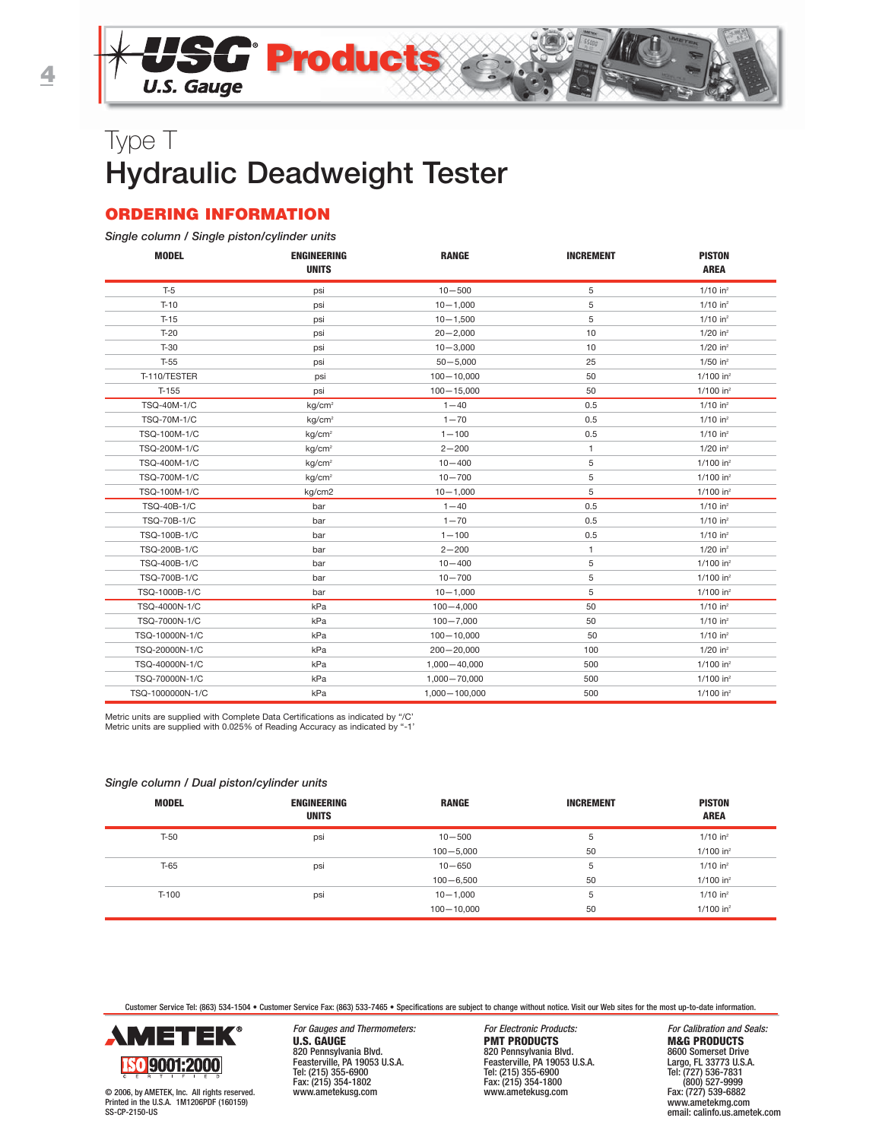## **ORDERING INFORMATION**

#### *Single column / Single piston/cylinder units*

| <b>MODEL</b>       | <b>ENGINEERING</b><br><b>UNITS</b> | <b>RANGE</b>    | <b>INCREMENT</b> | <b>PISTON</b><br><b>AREA</b> |
|--------------------|------------------------------------|-----------------|------------------|------------------------------|
| $T-5$              | psi                                | $10 - 500$      | 5                | $1/10$ in <sup>2</sup>       |
| $T-10$             | psi                                | $10 - 1,000$    | 5                | $1/10$ in <sup>2</sup>       |
| $T-15$             | psi                                | $10 - 1,500$    | 5                | $1/10$ in <sup>2</sup>       |
| $T-20$             | psi                                | $20 - 2,000$    | 10               | $1/20$ in <sup>2</sup>       |
| $T-30$             | psi                                | $10 - 3,000$    | 10               | $1/20$ in <sup>2</sup>       |
| $T-55$             | psi                                | $50 - 5,000$    | 25               | $1/50$ in <sup>2</sup>       |
| T-110/TESTER       | psi                                | $100 - 10,000$  | 50               | $1/100$ in <sup>2</sup>      |
| T-155              | psi                                | $100 - 15,000$  | 50               | $1/100$ in <sup>2</sup>      |
| TSQ-40M-1/C        | kg/cm <sup>2</sup>                 | $1 - 40$        | 0.5              | $1/10$ in <sup>2</sup>       |
| <b>TSQ-70M-1/C</b> | kg/cm <sup>2</sup>                 | $1 - 70$        | 0.5              | $1/10$ in <sup>2</sup>       |
| TSQ-100M-1/C       | kg/cm <sup>2</sup>                 | $1 - 100$       | 0.5              | $1/10$ in <sup>2</sup>       |
| TSQ-200M-1/C       | kg/cm <sup>2</sup>                 | $2 - 200$       | 1                | $1/20$ in <sup>2</sup>       |
| TSQ-400M-1/C       | kg/cm <sup>2</sup>                 | $10 - 400$      | 5                | $1/100$ in <sup>2</sup>      |
| TSQ-700M-1/C       | kg/cm <sup>2</sup>                 | $10 - 700$      | 5                | $1/100$ in <sup>2</sup>      |
| TSQ-100M-1/C       | kg/cm2                             | $10 - 1,000$    | 5                | $1/100$ in <sup>2</sup>      |
| <b>TSQ-40B-1/C</b> | bar                                | $1 - 40$        | 0.5              | $1/10$ in <sup>2</sup>       |
| TSQ-70B-1/C        | bar                                | $1 - 70$        | 0.5              | $1/10$ in <sup>2</sup>       |
| TSQ-100B-1/C       | bar                                | $1 - 100$       | 0.5              | $1/10$ in <sup>2</sup>       |
| TSQ-200B-1/C       | bar                                | $2 - 200$       | 1                | $1/20$ in <sup>2</sup>       |
| TSQ-400B-1/C       | bar                                | $10 - 400$      | 5                | $1/100$ in <sup>2</sup>      |
| TSQ-700B-1/C       | bar                                | $10 - 700$      | 5                | $1/100$ in <sup>2</sup>      |
| TSQ-1000B-1/C      | bar                                | $10 - 1,000$    | 5                | $1/100$ in <sup>2</sup>      |
| TSQ-4000N-1/C      | kPa                                | $100 - 4,000$   | 50               | $1/10$ in <sup>2</sup>       |
| TSQ-7000N-1/C      | kPa                                | $100 - 7,000$   | 50               | $1/10$ in <sup>2</sup>       |
| TSQ-10000N-1/C     | kPa                                | $100 - 10,000$  | 50               | $1/10$ in <sup>2</sup>       |
| TSQ-20000N-1/C     | kPa                                | $200 - 20,000$  | 100              | $1/20$ in <sup>2</sup>       |
| TSQ-40000N-1/C     | kPa                                | 1,000 - 40,000  | 500              | $1/100$ in <sup>2</sup>      |
| TSQ-70000N-1/C     | kPa                                | 1,000 - 70,000  | 500              | $1/100$ in <sup>2</sup>      |
| TSQ-1000000N-1/C   | kPa                                | 1,000 - 100,000 | 500              | $1/100$ in <sup>2</sup>      |

Metric units are supplied with Complete Data Certifications as indicated by "/C' Metric units are supplied with 0.025% of Reading Accuracy as indicated by "-1'

#### *Single column / Dual piston/cylinder units*

| <b>MODEL</b> | <b>ENGINEERING</b><br><b>UNITS</b> | <b>RANGE</b>   | <b>INCREMENT</b> | <b>PISTON</b><br><b>AREA</b> |
|--------------|------------------------------------|----------------|------------------|------------------------------|
| $T-50$       | psi                                | $10 - 500$     | 5                | $1/10$ in <sup>2</sup>       |
|              |                                    | $100 - 5,000$  | 50               | $1/100$ in <sup>2</sup>      |
| $T-65$       | psi                                | $10 - 650$     | 5                | $1/10$ in <sup>2</sup>       |
|              |                                    | $100 - 6,500$  | 50               | $1/100$ in <sup>2</sup>      |
| $T-100$      | psi                                | $10 - 1,000$   | 5                | $1/10$ in <sup>2</sup>       |
|              |                                    | $100 - 10,000$ | 50               | $1/100$ in <sup>2</sup>      |

Customer Service Tel: (863) 534-1504 • Customer Service Fax: (863) 533-7465 • Specifications are subject to change without notice. Visit our Web sites for the most up-to-date information.



© 2006, by AMETEK, Inc. All rights reserved. Printed in the U.S.A. 1M1206PDF (160159) SS-CP-2150-US

For Gauges and Thermometers: For Electronic Products: For Calibration and Seals:<br> **For Electronic Products:** For Formulation and Seals: **FRODUCTS M&G PRODUCTS U.S. GAUGE PMT PRODUCTS**<br>
820 Pennsylvania Blvd.<br>
Feasterville, PA 19053 U.S.A.<br>
Feasterville, PA 19053 U.S.A.<br>
Feasterville, PA 1903 820 Pennsylvania Blvd. 820 Pennsylvania Blvd. 8600 Somerset Drive Feasterville, PA 19053 U.S.A. Feasterville, PA 19053 U.S.A. Largo, FL 33773 U.S.A. Tel: (215) 355-6900 Tel: (215) 355-6900 Tel: (727) 536-7831 Fax: (215) 354-1802<br>
www.ametekusg.com<br>
www.ametekusg.com<br>
www.ametekusg.com

www.ametekusg.com www.ametekusg.com Fax: (727) 539-6882 www.ametekmg.com email: calinfo.us.ametek.com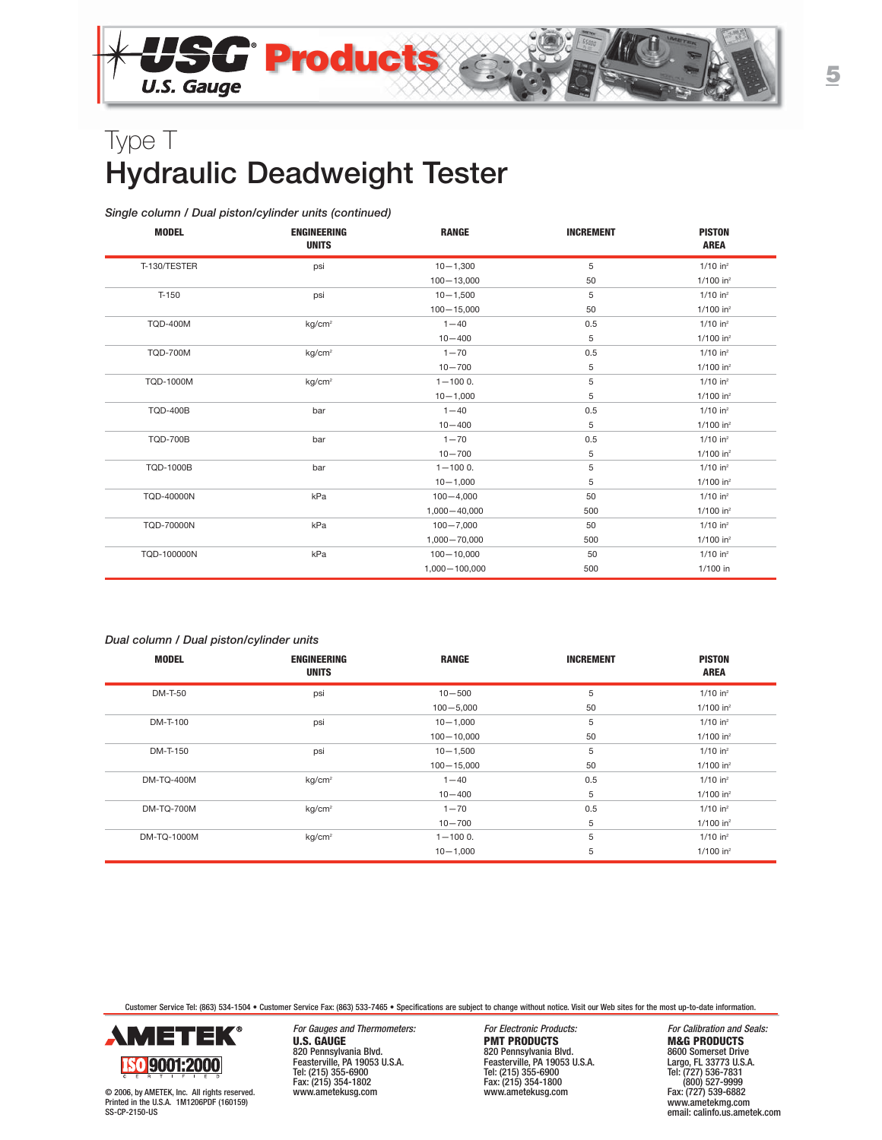

#### *Single column / Dual piston/cylinder units (continued)*

| <b>MODEL</b>      | <b>ENGINEERING</b><br><b>UNITS</b> | <b>RANGE</b>    | <b>INCREMENT</b> | <b>PISTON</b><br><b>AREA</b> |
|-------------------|------------------------------------|-----------------|------------------|------------------------------|
| T-130/TESTER      | psi                                | $10 - 1,300$    | 5                | $1/10$ in <sup>2</sup>       |
|                   |                                    | $100 - 13,000$  | 50               | $1/100$ in <sup>2</sup>      |
| $T-150$           | psi                                | $10 - 1,500$    | 5                | $1/10$ in <sup>2</sup>       |
|                   |                                    | $100 - 15,000$  | 50               | $1/100$ in <sup>2</sup>      |
| <b>TQD-400M</b>   | kg/cm <sup>2</sup>                 | $1 - 40$        | 0.5              | $1/10$ in <sup>2</sup>       |
|                   |                                    | $10 - 400$      | 5                | $1/100$ in <sup>2</sup>      |
| <b>TQD-700M</b>   | kg/cm <sup>2</sup>                 | $1 - 70$        | 0.5              | $1/10$ in <sup>2</sup>       |
|                   |                                    | $10 - 700$      | 5                | $1/100$ in <sup>2</sup>      |
| TQD-1000M         | kq/cm <sup>2</sup>                 | $1 - 1000$ .    | 5                | $1/10$ in <sup>2</sup>       |
|                   |                                    | $10 - 1,000$    | 5                | $1/100$ in <sup>2</sup>      |
| <b>TOD-400B</b>   | bar                                | $1 - 40$        | 0.5              | $1/10$ in <sup>2</sup>       |
|                   |                                    | $10 - 400$      | 5                | $1/100$ in <sup>2</sup>      |
| <b>TQD-700B</b>   | bar                                | $1 - 70$        | 0.5              | $1/10$ in <sup>2</sup>       |
|                   |                                    | $10 - 700$      | 5                | $1/100$ in <sup>2</sup>      |
| <b>TQD-1000B</b>  | bar                                | $1 - 1000$ .    | 5                | $1/10$ in <sup>2</sup>       |
|                   |                                    | $10 - 1,000$    | 5                | $1/100$ in <sup>2</sup>      |
| <b>TQD-40000N</b> | kPa                                | $100 - 4,000$   | 50               | $1/10$ in <sup>2</sup>       |
|                   |                                    | 1,000 - 40,000  | 500              | $1/100$ in <sup>2</sup>      |
| <b>TQD-70000N</b> | kPa                                | $100 - 7,000$   | 50               | $1/10$ in <sup>2</sup>       |
|                   |                                    | 1,000 - 70,000  | 500              | $1/100$ in <sup>2</sup>      |
| TQD-100000N       | kPa                                | $100 - 10,000$  | 50               | $1/10$ in <sup>2</sup>       |
|                   |                                    | 1,000 - 100,000 | 500              | 1/100 in                     |

### *Dual column / Dual piston/cylinder units*

| <b>MODEL</b>      | ENGINEERING<br><b>UNITS</b> | <b>RANGE</b>   | <b>INCREMENT</b> | <b>PISTON</b><br><b>AREA</b> |
|-------------------|-----------------------------|----------------|------------------|------------------------------|
| DM-T-50           | psi                         | $10 - 500$     | 5                | $1/10$ in <sup>2</sup>       |
|                   |                             | $100 - 5,000$  | 50               | $1/100$ in <sup>2</sup>      |
| DM-T-100          | psi                         | $10 - 1,000$   | 5                | $1/10$ in <sup>2</sup>       |
|                   |                             | $100 - 10,000$ | 50               | $1/100$ in <sup>2</sup>      |
| DM-T-150          | psi                         | $10 - 1,500$   | 5                | $1/10$ in <sup>2</sup>       |
|                   |                             | $100 - 15,000$ | 50               | $1/100$ in <sup>2</sup>      |
| DM-TQ-400M        | kg/cm <sup>2</sup>          | $1 - 40$       | 0.5              | $1/10$ in <sup>2</sup>       |
|                   |                             | $10 - 400$     | 5                | $1/100$ in <sup>2</sup>      |
| <b>DM-TQ-700M</b> | kq/cm <sup>2</sup>          | $1 - 70$       | 0.5              | $1/10$ in <sup>2</sup>       |
|                   |                             | $10 - 700$     | 5                | $1/100$ in <sup>2</sup>      |
| DM-TQ-1000M       | kg/cm <sup>2</sup>          | $1 - 1000$ .   | 5                | $1/10$ in <sup>2</sup>       |
|                   |                             | $10 - 1,000$   | 5                | $1/100$ in <sup>2</sup>      |

Customer Service Tel: (863) 534-1504 • Customer Service Fax: (863) 533-7465 • Specifications are subject to change without notice. Visit our Web sites for the most up-to-date information.



© 2006, by AMETEK, Inc. All rights reserved. Printed in the U.S.A. 1M1206PDF (160159) SS-CP-2150-US

For Gauges and Thermometers: For Electronic Products: For Calibration and Seals:<br> **For Electronic Products:** For Formulation and Seals: **FRODUCTS M&G PRODUCTS U.S. GAUGE PRODUCTS**<br>
820 Pennsylvania Blvd. 820 Pennsylvania Blvd. 820 Pennsylvania Blvd. 8600 Somerset Drive<br>
Feasterville, PA 19053 U.S.A. Feasterville, PA 19053 U.S.A. 1909, Electronic PRODUCTS<br>
Tel: (215) 355-6900 Te 820 Pennsylvania Blvd. 820 Pennsylvania Blvd. 8600 Somerset Drive Feasterville, PA 19053 U.S.A. Feasterville, PA 19053 U.S.A. Largo, FL 33773 U.S.A. Tel: (215) 355-6900 Tel: (215) 355-6900 Tel: (727) 536-7831 Fax: (215) 354-1802<br>
www.ametekusg.com<br>
www.ametekusg.com<br>
www.ametekusg.com www.ametekusg.com

(800) 527-9999<br>Fax: (727) 539-6882<br>www.ametekmg.com email: calinfo.us.ametek.com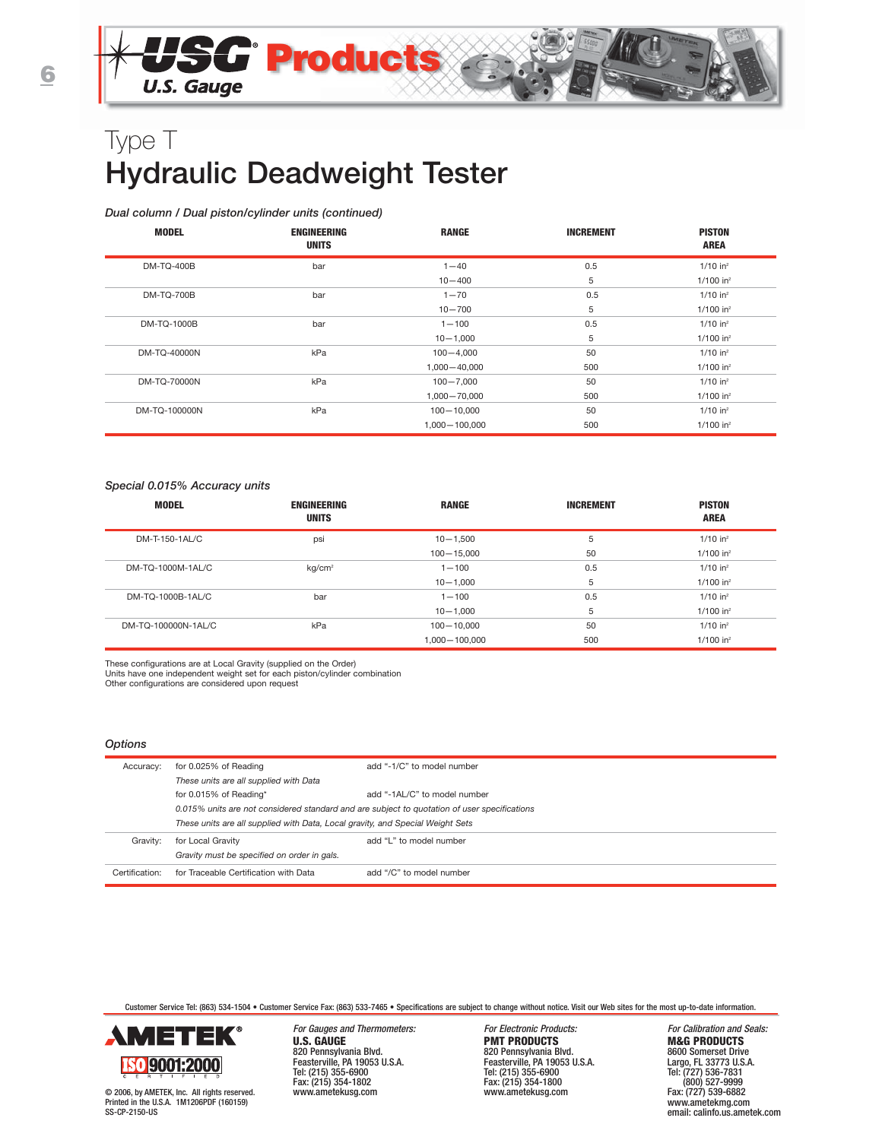#### *Dual column / Dual piston/cylinder units (continued)*

| <b>MODEL</b>      | <b>ENGINEERING</b><br><b>UNITS</b> | <b>RANGE</b>     | <b>INCREMENT</b> | <b>PISTON</b><br><b>AREA</b> |
|-------------------|------------------------------------|------------------|------------------|------------------------------|
| <b>DM-TQ-400B</b> | bar                                | $1 - 40$         | 0.5              | $1/10$ in <sup>2</sup>       |
|                   |                                    | $10 - 400$       | 5                | $1/100$ in <sup>2</sup>      |
| <b>DM-TQ-700B</b> | bar                                | $1 - 70$         | 0.5              | $1/10$ in <sup>2</sup>       |
|                   |                                    | $10 - 700$       | 5                | $1/100$ in <sup>2</sup>      |
| DM-TQ-1000B       | bar                                | $1 - 100$        | 0.5              | $1/10$ in <sup>2</sup>       |
|                   |                                    | $10 - 1,000$     | 5                | $1/100$ in <sup>2</sup>      |
| DM-TQ-40000N      | kPa                                | $100 - 4,000$    | 50               | $1/10$ in <sup>2</sup>       |
|                   |                                    | $1.000 - 40.000$ | 500              | $1/100$ in <sup>2</sup>      |
| DM-TQ-70000N      | kPa                                | $100 - 7.000$    | 50               | $1/10$ in <sup>2</sup>       |
|                   |                                    | 1,000 - 70,000   | 500              | $1/100$ in <sup>2</sup>      |
| DM-TQ-100000N     | kPa                                | $100 - 10,000$   | 50               | $1/10$ in <sup>2</sup>       |
|                   |                                    | 1,000 - 100,000  | 500              | $1/100$ in <sup>2</sup>      |

#### *Special 0.015% Accuracy units*

| <b>MODEL</b>        | ENGINEERING<br><b>UNITS</b> | <b>RANGE</b>    | <b>INCREMENT</b> | <b>PISTON</b><br><b>AREA</b> |
|---------------------|-----------------------------|-----------------|------------------|------------------------------|
| DM-T-150-1AL/C      | psi                         | $10 - 1.500$    | 5                | $1/10$ in <sup>2</sup>       |
|                     |                             | $100 - 15,000$  | 50               | $1/100$ in <sup>2</sup>      |
| DM-TQ-1000M-1AL/C   | kq/cm <sup>2</sup>          | $1 - 100$       | 0.5              | $1/10$ in <sup>2</sup>       |
|                     |                             | $10 - 1.000$    | 5                | $1/100$ in <sup>2</sup>      |
| DM-TQ-1000B-1AL/C   | bar                         | $1 - 100$       | 0.5              | $1/10$ in <sup>2</sup>       |
|                     |                             | $10 - 1.000$    | 5                | $1/100$ in <sup>2</sup>      |
| DM-TO-100000N-1AL/C | kPa                         | $100 - 10.000$  | 50               | $1/10$ in <sup>2</sup>       |
|                     |                             | 1.000 - 100.000 | 500              | $1/100$ in <sup>2</sup>      |

These configurations are at Local Gravity (supplied on the Order)

Units have one independent weight set for each piston/cylinder combination

Other configurations are considered upon request

#### *Options*

| Accuracy:      | for 0.025% of Reading                                                                        | add "-1/C" to model number   |
|----------------|----------------------------------------------------------------------------------------------|------------------------------|
|                | These units are all supplied with Data                                                       |                              |
|                | for 0.015% of Reading*                                                                       | add "-1AL/C" to model number |
|                | 0.015% units are not considered standard and are subject to quotation of user specifications |                              |
|                | These units are all supplied with Data, Local gravity, and Special Weight Sets               |                              |
| Gravity:       | for Local Gravity                                                                            | add "L" to model number      |
|                | Gravity must be specified on order in gals.                                                  |                              |
| Certification: | for Traceable Certification with Data                                                        | add "/C" to model number     |

Customer Service Tel: (863) 534-1504 • Customer Service Fax: (863) 533-7465 • Specifications are subject to change without notice. Visit our Web sites for the most up-to-date information.



© 2006, by AMETEK, Inc. All rights reserved. Printed in the U.S.A. 1M1206PDF (160159) SS-CP-2150-US

For Gauges and Thermometers: For Electronic Products: For Calibration and Seals:<br> **For Electronic Products:** For Formulation and Seals: **FRODUCTS M&G PRODUCTS U.S. GAUGE PMT PRODUCTS**<br>
820 Pennsylvania Blvd.<br>
Feasterville, PA 19053 U.S.A.<br>
Feasterville, PA 19053 U.S.A.<br>
Feasterville, PA 1903 820 Pennsylvania Blvd. 820 Pennsylvania Blvd. 8600 Somerset Drive Feasterville, PA 19053 U.S.A. Feasterville, PA 19053 U.S.A. Largo, FL 33773 U.S.A. Tel: (215) 355-6900 Tel: (215) 355-6900 Tel: (727) 536-7831 Fax: (215) 354-1802 Fax: (215) 354-1800 (800) 527-9999

www.ametekusg.com www.ametekusg.com Fax: (727) 539-6882 www.ametekmg.com email: calinfo.us.ametek.com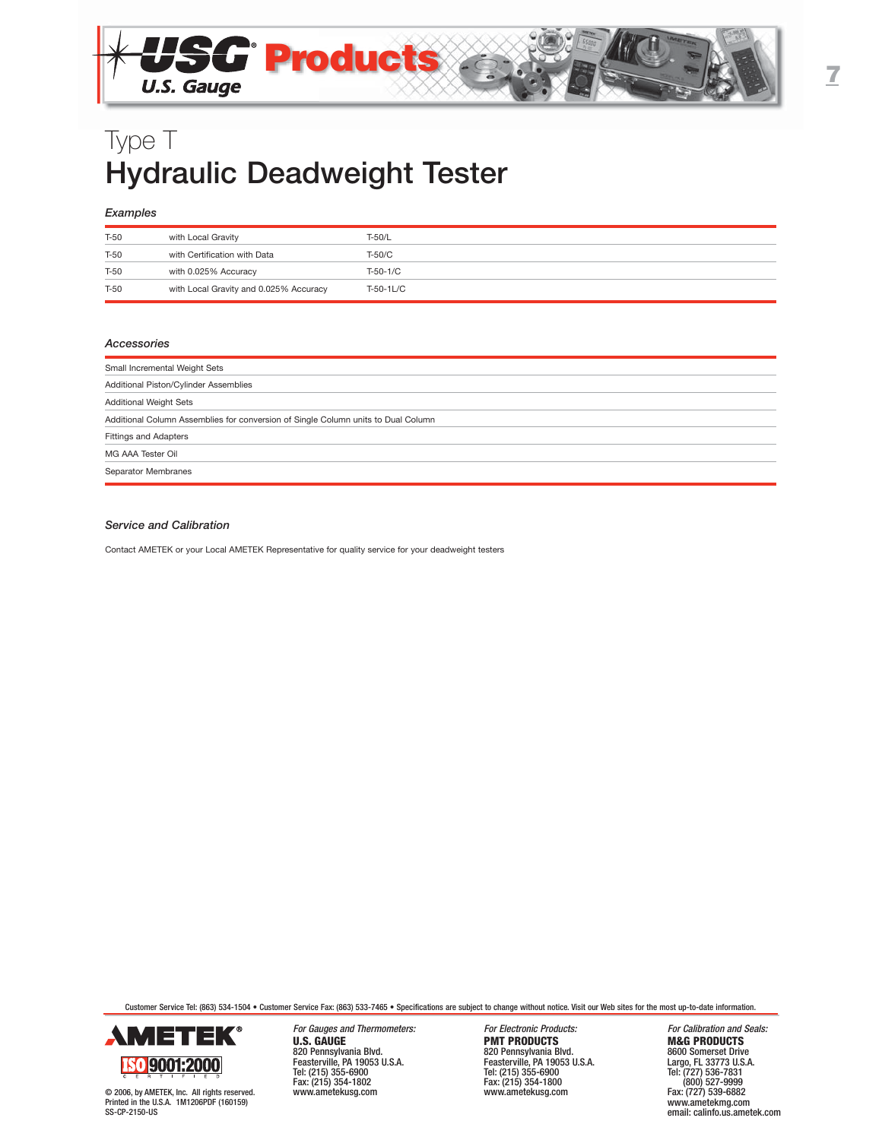

## *Examples*

| T-50 | with Local Gravity                     | T-50/L     |
|------|----------------------------------------|------------|
| T-50 | with Certification with Data           | T-50/C     |
| T-50 | with 0.025% Accuracy                   | $T-50-1/C$ |
| T-50 | with Local Gravity and 0.025% Accuracy | T-50-1L/C  |

#### *Accessories*

| Small Incremental Weight Sets                                                     |
|-----------------------------------------------------------------------------------|
| Additional Piston/Cylinder Assemblies                                             |
| <b>Additional Weight Sets</b>                                                     |
| Additional Column Assemblies for conversion of Single Column units to Dual Column |
| <b>Fittings and Adapters</b>                                                      |
| MG AAA Tester Oil                                                                 |
| Separator Membranes                                                               |

#### *Service and Calibration*

Contact AMETEK or your Local AMETEK Representative for quality service for your deadweight testers

Customer Service Tel: (863) 534-1504 • Customer Service Fax: (863) 533-7465 • Specifications are subject to change without notice. Visit our Web sites for the most up-to-date information.



© 2006, by AMETEK, Inc. All rights reserved. Printed in the U.S.A. 1M1206PDF (160159) SS-CP-2150-US

For Gauges and Thermometers: For Electronic Products: For Calibration and Seals:<br> **For Electronic Products:** For Formulation and Seals: **FRODUCTS M&G PRODUCTS U.S. GAUGE PMT PRODUCTS**<br>
820 Pennsylvania Blvd.<br>
Feasterville, PA 19053 U.S.A.<br>
Feasterville, PA 19053 U.S.A.<br>
Feasterville, PA 1903 820 Pennsylvania Blvd. 820 Pennsylvania Blvd. 8600 Somerset Drive Feasterville, PA 19053 U.S.A. Feasterville, PA 19053 U.S.A. Largo, FL 33773 U.S.A. Tel: (215) 355-6900 Tel: (215) 355-6900 Tel: (727) 536-7831 www.ametekusg.com

Fax: (215) 354-1800<br>www.ametekusg.com

(800) 527-9999<br>Fax: (727) 539-6882<br>www.ametekmg.com email: calinfo.us.ametek.com